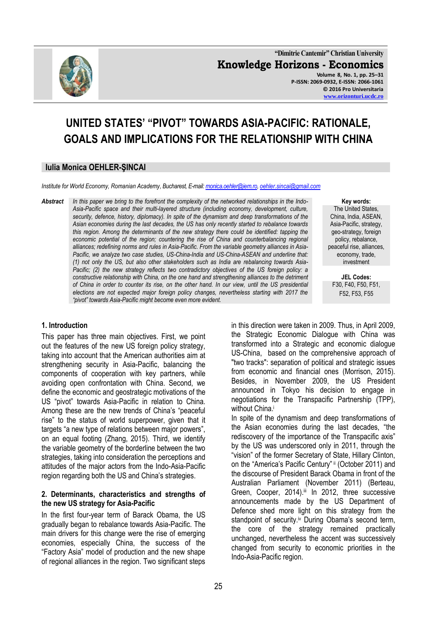

**"Dimitrie Cantemir" Christian University Knowledge Horizons - Economics Volume 8, No. 1, pp. 25–31 P-ISSN: 2069-0932, E-ISSN: 2066-1061 © 2016 Pro Universitaria [www.orizonturi.ucdc.ro](http://www.orizonturi.ucdc.ro/)**

# **UNITED STATES' "PIVOT" TOWARDS ASIA-PACIFIC: RATIONALE, GOALS AND IMPLICATIONS FOR THE RELATIONSHIP WITH CHINA**

#### **Iulia Monica OEHLER-ŞINCAI**

*Institute for World Economy, Romanian Academy, Bucharest, E-mail[: monica.oehler@iem.ro,](mailto:monica.oehler@iem.ro) [oehler.sincai@gmail.com](mailto:oehler.sincai@gmail.com)*

*Abstract In this paper we bring to the forefront the complexity of the networked relationships in the Indo-Asia-Pacific space and their multi-layered structure (including economy, development, culture, security, defence, history, diplomacy). In spite of the dynamism and deep transformations of the Asian economies during the last decades, the US has only recently started to rebalance towards this region. Among the determinants of the new strategy there could be identified: tapping the*  economic potential of the region; countering the rise of China and counterbalancing regional *alliances; redefining norms and rules in Asia-Pacific. From the variable geometry alliances in Asia-Pacific, we analyze two case studies, US-China-India and US-China-ASEAN and underline that: (1) not only the US, but also other stakeholders such as India are rebalancing towards Asia-Pacific; (2) the new strategy reflects two contradictory objectives of the US foreign policy: a constructive relationship with China, on the one hand and strengthening alliances to the detriment of China in order to counter its rise, on the other hand. In our view, until the US presidential elections are not expected major foreign policy changes, nevertheless starting with 2017 the "pivot" towards Asia-Pacific might become even more evident.*

#### **Key words:** The United States, China, India, ASEAN, Asia-Pacific, strategy, geo-strategy, foreign policy, rebalance, peaceful rise, alliances, economy, trade, investment

**JEL Codes:** F30, F40, F50, F51, F52, F53, F55

# **1. Introduction**

This paper has three main objectives. First, we point out the features of the new US foreign policy strategy, taking into account that the American authorities aim at strengthening security in Asia-Pacific, balancing the components of cooperation with key partners, while avoiding open confrontation with China. Second, we define the economic and geostrategic motivations of the US "pivot" towards Asia-Pacific in relation to China. Among these are the new trends of China"s "peaceful rise" to the status of world superpower, given that it targets "a new type of relations between major powers", on an equal footing (Zhang, 2015). Third, we identify the variable geometry of the borderline between the two strategies, taking into consideration the perceptions and attitudes of the major actors from the Indo-Asia-Pacific region regarding both the US and China"s strategies.

#### **2. Determinants, characteristics and strengths of the new US strategy for Asia-Pacific**

In the first four-year term of Barack Obama, the US gradually began to rebalance towards Asia-Pacific. The main drivers for this change were the rise of emerging economies, especially China, the success of the "Factory Asia" model of production and the new shape of regional alliances in the region. Two significant steps

in this direction were taken in 2009. Thus, in April 2009, the Strategic Economic Dialogue with China was transformed into a Strategic and economic dialogue US-China, based on the comprehensive approach of "two tracks": separation of political and strategic issues from economic and financial ones (Morrison, 2015). Besides, in November 2009, the US President announced in Tokyo his decision to engage in negotiations for the Transpacific Partnership (TPP), without China.<sup>i</sup>

In spite of the dynamism and deep transformations of the Asian economies during the last decades, "the rediscovery of the importance of the Transpacific axis" by the US was underscored only in 2011, through the "vision" of the former Secretary of State, Hillary Clinton, on the "America's Pacific Century" ii (October 2011) and the discourse of President Barack Obama in front of the Australian Parliament (November 2011) (Berteau, Green, Cooper, 2014).iii In 2012, three successive announcements made by the US Department of Defence shed more light on this strategy from the standpoint of security.<sup>iv</sup> During Obama's second term, the core of the strategy remained practically unchanged, nevertheless the accent was successively changed from security to economic priorities in the Indo-Asia-Pacific region.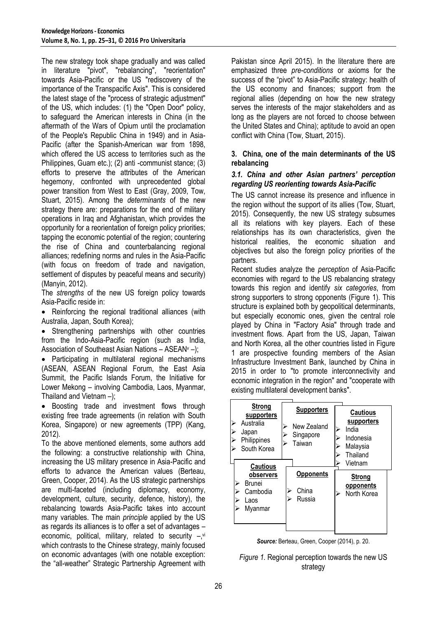The new strategy took shape gradually and was called in literature "pivot", "rebalancing", "reorientation" towards Asia-Pacific or the US "rediscovery of the importance of the Transpacific Axis". This is considered the latest stage of the "process of strategic adjustment" of the US, which includes: (1) the "Open Door" policy, to safeguard the American interests in China (in the aftermath of the Wars of Opium until the proclamation of the People's Republic China in 1949) and in Asia-Pacific (after the Spanish-American war from 1898, which offered the US access to territories such as the Philippines, Guam etc.); (2) anti -communist stance; (3) efforts to preserve the attributes of the American hegemony, confronted with unprecedented global power transition from West to East (Gray, 2009, Tow, Stuart, 2015). Among the *determinants* of the new strategy there are: preparations for the end of military operations in Iraq and Afghanistan, which provides the opportunity for a reorientation of foreign policy priorities; tapping the economic potential of the region; countering the rise of China and counterbalancing regional alliances; redefining norms and rules in the Asia-Pacific (with focus on freedom of trade and navigation, settlement of disputes by peaceful means and security) (Manyin, 2012).

The *strengths* of the new US foreign policy towards Asia-Pacific reside in:

• Reinforcing the regional traditional alliances (with Australia, Japan, South Korea);

• Strengthening partnerships with other countries from the Indo-Asia-Pacific region (such as India, Association of Southeast Asian Nations  $-$  ASEAN $v$  –);

 Participating in multilateral regional mechanisms (ASEAN, ASEAN Regional Forum, the East Asia Summit, the Pacific Islands Forum, the Initiative for Lower Mekong – involving Cambodia, Laos, Myanmar, Thailand and Vietnam –);

• Boosting trade and investment flows through existing free trade agreements (in relation with South Korea, Singapore) or new agreements (TPP) (Kang, 2012).

To the above mentioned elements, some authors add the following: a constructive relationship with China, increasing the US military presence in Asia-Pacific and efforts to advance the American values (Berteau, Green, Cooper, 2014). As the US strategic partnerships are multi-faceted (including diplomacy, economy, development, culture, security, defence, history), the rebalancing towards Asia-Pacific takes into account many variables. The main *principle* applied by the US as regards its alliances is to offer a set of advantages – economic, political, military, related to security -,vi which contrasts to the Chinese strategy, mainly focused on economic advantages (with one notable exception: the "all-weather" Strategic Partnership Agreement with Pakistan since April 2015). In the literature there are emphasized three *pre-conditions* or axioms for the success of the "pivot" to Asia-Pacific strategy: health of the US economy and finances; support from the regional allies (depending on how the new strategy serves the interests of the major stakeholders and as long as the players are not forced to choose between the United States and China); aptitude to avoid an open conflict with China (Tow, Stuart, 2015).

#### **3. China, one of the main determinants of the US rebalancing**

### *3.1. China and other Asian partners' perception regarding US reorienting towards Asia-Pacific*

The US cannot increase its presence and influence in the region without the support of its allies (Tow, Stuart, 2015). Consequently, the new US strategy subsumes all its relations with key players. Each of these relationships has its own characteristics, given the historical realities, the economic situation and objectives but also the foreign policy priorities of the partners.

Recent studies analyze the *perception* of Asia-Pacific economies with regard to the US rebalancing strategy towards this region and identify *six categories*, from strong supporters to strong opponents (Figure 1). This structure is explained both by geopolitical determinants, but especially economic ones, given the central role played by China in "Factory Asia" through trade and investment flows. Apart from the US, Japan, Taiwan and North Korea, all the other countries listed in Figure 1 are prospective founding members of the Asian Infrastructure Investment Bank, launched by China in 2015 in order to "to promote interconnectivity and economic integration in the region" and "cooperate with existing multilateral development banks".

| <b>Strong</b><br>supporters<br>Australia           |                     | <b>Supporters</b><br>New Zealand    |  | Cautious<br>supporters<br>India<br>Indonesia<br>Malaysia<br>Thailand |
|----------------------------------------------------|---------------------|-------------------------------------|--|----------------------------------------------------------------------|
| Japan<br>Philippines<br>South Korea                | Singapore<br>Taiwan |                                     |  |                                                                      |
| <b>Cautious</b>                                    |                     |                                     |  | Vietnam                                                              |
| observers<br>Brunei<br>Cambodia<br>Laos<br>Myanmar |                     | <b>Opponents</b><br>China<br>Russia |  | <b>Strong</b><br>opponents<br>North Korea                            |
|                                                    |                     |                                     |  |                                                                      |

| Source: Berteau, Green, Cooper (2014), p. 20. |  |  |
|-----------------------------------------------|--|--|
|                                               |  |  |

| Figure 1. Regional perception towards the new US |
|--------------------------------------------------|
| strategy                                         |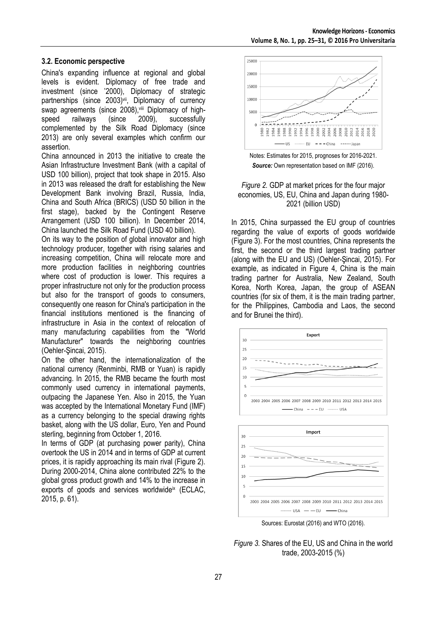# **3.2. Economic perspective**

China's expanding influence at regional and global levels is evident. Diplomacy of free trade and investment (since "2000), Diplomacy of strategic partnerships (since 2003)<sup>vii</sup>, Diplomacy of currency swap agreements (since 2008), viii Diplomacy of high-<br>speed railways (since 2009). successfully speed railways (since 2009), successfully complemented by the Silk Road Diplomacy (since 2013) are only several examples which confirm our assertion.

China announced in 2013 the initiative to create the Asian Infrastructure Investment Bank (with a capital of USD 100 billion), project that took shape in 2015. Also in 2013 was released the draft for establishing the New Development Bank involving Brazil, Russia, India, China and South Africa (BRICS) (USD 50 billion in the first stage), backed by the Contingent Reserve Arrangement (USD 100 billion). In December 2014, China launched the Silk Road Fund (USD 40 billion).

On its way to the position of global innovator and high technology producer, together with rising salaries and increasing competition, China will relocate more and more production facilities in neighboring countries where cost of production is lower. This requires a proper infrastructure not only for the production process but also for the transport of goods to consumers, consequently one reason for China's participation in the financial institutions mentioned is the financing of infrastructure in Asia in the context of relocation of many manufacturing capabilities from the "World Manufacturer" towards the neighboring countries (Oehler-Şincai, 2015).

On the other hand, the internationalization of the national currency (Renminbi, RMB or Yuan) is rapidly advancing. In 2015, the RMB became the fourth most commonly used currency in international payments, outpacing the Japanese Yen. Also in 2015, the Yuan was accepted by the International Monetary Fund (IMF) as a currency belonging to the special drawing rights basket, along with the US dollar, Euro, Yen and Pound sterling, beginning from October 1, 2016.

In terms of GDP (at purchasing power parity), China overtook the US in 2014 and in terms of GDP at current prices, it is rapidly approaching its main rival (Figure 2). During 2000-2014, China alone contributed 22% to the global gross product growth and 14% to the increase in exports of goods and services worldwide<sup>ix</sup> (ECLAC, 2015, p. 61).



Notes: Estimates for 2015, prognoses for 2016-2021. *Source:* Own representation based on IMF (2016).

### *Figure 2.* GDP at market prices for the four major economies, US, EU, China and Japan during 1980- 2021 (billion USD)

In 2015, China surpassed the EU group of countries regarding the value of exports of goods worldwide (Figure 3). For the most countries, China represents the first, the second or the third largest trading partner (along with the EU and US) (Oehler-Şincai, 2015). For example, as indicated in Figure 4, China is the main trading partner for Australia, New Zealand, South Korea, North Korea, Japan, the group of ASEAN countries (for six of them, it is the main trading partner, for the Philippines, Cambodia and Laos, the second and for Brunei the third).



*Figure 3.* Shares of the EU, US and China in the world trade, 2003-2015 (%)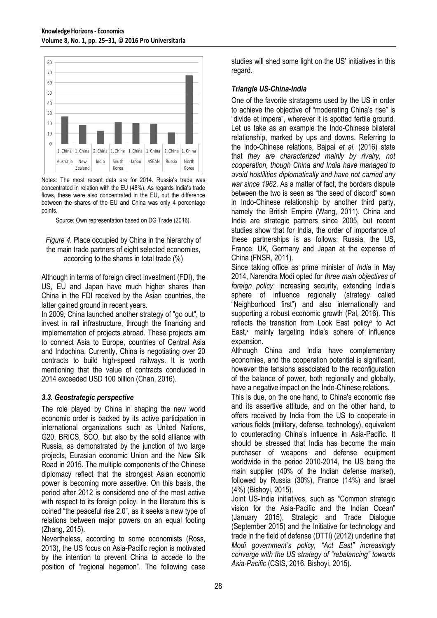

Notes: The most recent data are for 2014. Russia's trade was concentrated in relation with the EU (48%). As regards India"s trade flows, these were also concentrated in the EU, but the difference between the shares of the EU and China was only 4 percentage points.

Source: Own representation based on DG Trade (2016).

*Figure 4.* Place occupied by China in the hierarchy of the main trade partners of eight selected economies, according to the shares in total trade (%)

Although in terms of foreign direct investment (FDI), the US, EU and Japan have much higher shares than China in the FDI received by the Asian countries, the latter gained ground in recent years.

In 2009, China launched another strategy of "go out", to invest in rail infrastructure, through the financing and implementation of projects abroad. These projects aim to connect Asia to Europe, countries of Central Asia and Indochina. Currently, China is negotiating over 20 contracts to build high-speed railways. It is worth mentioning that the value of contracts concluded in 2014 exceeded USD 100 billion (Chan, 2016).

# *3.3. Geostrategic perspective*

The role played by China in shaping the new world economic order is backed by its active participation in international organizations such as United Nations, G20, BRICS, SCO, but also by the solid alliance with Russia, as demonstrated by the junction of two large projects, Eurasian economic Union and the New Silk Road in 2015. The multiple components of the Chinese diplomacy reflect that the strongest Asian economic power is becoming more assertive. On this basis, the period after 2012 is considered one of the most active with respect to its foreign policy. In the literature this is coined "the peaceful rise 2.0", as it seeks a new type of relations between major powers on an equal footing (Zhang, 2015).

Nevertheless, according to some economists (Ross, 2013), the US focus on Asia-Pacific region is motivated by the intention to prevent China to accede to the position of "regional hegemon". The following case studies will shed some light on the US" initiatives in this regard.

# *Triangle US-China-India*

One of the favorite stratagems used by the US in order to achieve the objective of "moderating China"s rise" is "divide et impera", wherever it is spotted fertile ground. Let us take as an example the Indo-Chinese bilateral relationship, marked by ups and downs. Referring to the Indo-Chinese relations, Bajpai *et al.* (2016) state that *they are characterized mainly by rivalry, not cooperation, though China and India have managed to avoid hostilities diplomatically and have not carried any war since 1962*. As a matter of fact, the borders dispute between the two is seen as "the seed of discord" sown in Indo-Chinese relationship by another third party, namely the British Empire (Wang, 2011). China and India are strategic partners since 2005, but recent studies show that for India, the order of importance of these partnerships is as follows: Russia, the US, France, UK, Germany and Japan at the expense of China (FNSR, 2011).

Since taking office as prime minister of *India* in May 2014, Narendra Modi opted for *three main objectives of foreign policy*: increasing security, extending India"s sphere of influence regionally (strategy called "Neighborhood first") and also internationally and supporting a robust economic growth (Pal, 2016). This reflects the transition from Look East policy<sup>x</sup> to Act East, $x_i$  mainly targeting India's sphere of influence expansion.

Although China and India have complementary economies, and the cooperation potential is significant, however the tensions associated to the reconfiguration of the balance of power, both regionally and globally, have a negative impact on the Indo-Chinese relations.

This is due, on the one hand, to China's economic rise and its assertive attitude, and on the other hand, to offers received by India from the US to cooperate in various fields (military, defense, technology), equivalent to counteracting China"s influence in Asia-Pacific. It should be stressed that India has become the main purchaser of weapons and defense equipment worldwide in the period 2010-2014, the US being the main supplier (40% of the Indian defense market), followed by Russia (30%), France (14%) and Israel (4%) (Bishoyi, 2015).

Joint US-India initiatives, such as "Common strategic vision for the Asia-Pacific and the Indian Ocean" (January 2015), Strategic and Trade Dialogue (September 2015) and the Initiative for technology and trade in the field of defense (DTTI) (2012) underline that *Modi government's policy, "Act East" increasingly converge with the US strategy of "rebalancing" towards Asia-Pacific* (CSIS, 2016, Bishoyi, 2015).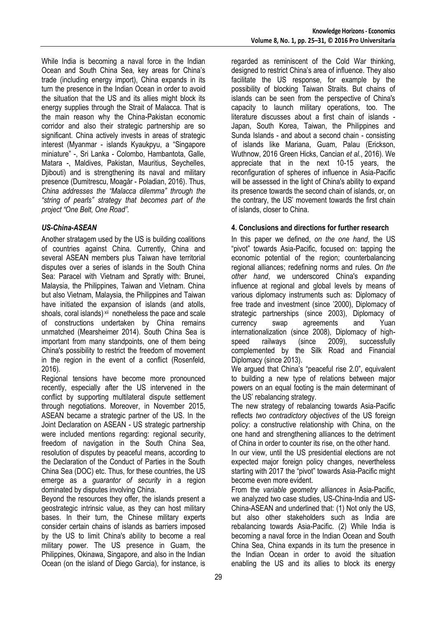While India is becoming a naval force in the Indian Ocean and South China Sea, key areas for China"s trade (including energy import), China expands in its turn the presence in the Indian Ocean in order to avoid the situation that the US and its allies might block its energy supplies through the Strait of Malacca. That is the main reason why the China-Pakistan economic corridor and also their strategic partnership are so significant. China actively invests in areas of strategic interest (Myanmar - islands Kyaukpyu, a "Singapore miniature" -, Sri Lanka - Colombo, Hambantota, Galle, Matara -, Maldives, Pakistan, Mauritius, Seychelles, Djibouti) and is strengthening its naval and military presence (Dumitrescu, Moagăr - Poladian, 2016). Thus, *China addresses the "Malacca dilemma" through the "string of pearls" strategy that becomes part of the project "One Belt, One Road".*

# *US-China-ASEAN*

Another stratagem used by the US is building coalitions of countries against China. Currently, China and several ASEAN members plus Taiwan have territorial disputes over a series of islands in the South China Sea: Paracel with Vietnam and Spratly with: Brunei, Malaysia, the Philippines, Taiwan and Vietnam. China but also Vietnam, Malaysia, the Philippines and Taiwan have initiated the expansion of islands (and atolls, shoals, coral islands)<sup>xii</sup> nonetheless the pace and scale of constructions undertaken by China remains unmatched (Mearsheimer 2014). South China Sea is important from many standpoints, one of them being China's possibility to restrict the freedom of movement in the region in the event of a conflict (Rosenfeld, 2016).

Regional tensions have become more pronounced recently, especially after the US intervened in the conflict by supporting multilateral dispute settlement through negotiations. Moreover, in November 2015, ASEAN became a strategic partner of the US. In the Joint Declaration on ASEAN - US strategic partnership were included mentions regarding: regional security, freedom of navigation in the South China Sea, resolution of disputes by peaceful means, according to the Declaration of the Conduct of Parties in the South China Sea (DOC) etc. Thus, for these countries, the US emerge as a *guarantor of security* in a region dominated by disputes involving China.

Beyond the resources they offer, the islands present a geostrategic intrinsic value, as they can host military bases. In their turn, the Chinese military experts consider certain chains of islands as barriers imposed by the US to limit China's ability to become a real military power. The US presence in Guam, the Philippines, Okinawa, Singapore, and also in the Indian Ocean (on the island of Diego Garcia), for instance, is

regarded as reminiscent of the Cold War thinking, designed to restrict China's area of influence. They also facilitate the US response, for example by the possibility of blocking Taiwan Straits. But chains of islands can be seen from the perspective of China's capacity to launch military operations, too. The literature discusses about a first chain of islands - Japan, South Korea, Taiwan, the Philippines and Sunda Islands - and about a second chain - consisting of islands like Mariana, Guam, Palau (Erickson, Wuthnow, 2016 Green Hicks, Cancian *et al.*, 2016). We appreciate that in the next 10-15 years, the reconfiguration of spheres of influence in Asia-Pacific will be assessed in the light of China's ability to expand its presence towards the second chain of islands, or, on the contrary, the US" movement towards the first chain of islands, closer to China.

# **4. Conclusions and directions for further research**

In this paper we defined, *on the one hand*, the US "pivot" towards Asia-Pacific, focused on: tapping the economic potential of the region; counterbalancing regional alliances; redefining norms and rules. *On the other hand*, we underscored China's expanding influence at regional and global levels by means of various diplomacy instruments such as: Diplomacy of free trade and investment (since "2000), Diplomacy of strategic partnerships (since 2003), Diplomacy of currency swap agreements and Yuan internationalization (since 2008), Diplomacy of highspeed railways (since 2009), successfully complemented by the Silk Road and Financial Diplomacy (since 2013).

We argued that China's "peaceful rise 2.0", equivalent to building a new type of relations between major powers on an equal footing is the main determinant of the US" rebalancing strategy.

The new strategy of rebalancing towards Asia-Pacific reflects *two contradictory objectives* of the US foreign policy: a constructive relationship with China, on the one hand and strengthening alliances to the detriment of China in order to counter its rise, on the other hand.

In our view, until the US presidential elections are not expected major foreign policy changes, nevertheless starting with 2017 the "pivot" towards Asia-Pacific might become even more evident.

From the *variable geometry alliances* in Asia-Pacific, we analyzed two case studies, US-China-India and US-China-ASEAN and underlined that: (1) Not only the US, but also other stakeholders such as India are rebalancing towards Asia-Pacific. (2) While India is becoming a naval force in the Indian Ocean and South China Sea, China expands in its turn the presence in the Indian Ocean in order to avoid the situation enabling the US and its allies to block its energy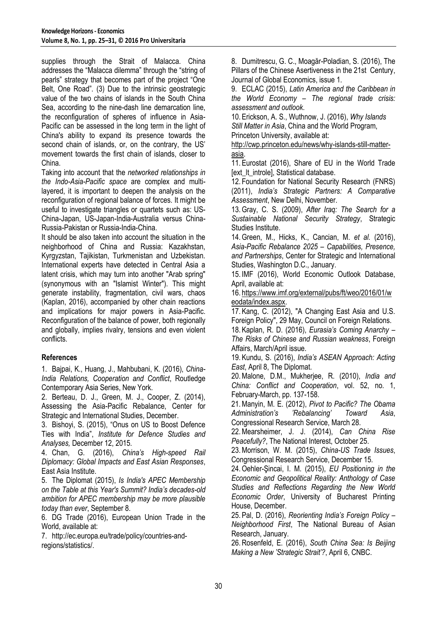supplies through the Strait of Malacca. China addresses the "Malacca dilemma" through the "string of pearls" strategy that becomes part of the project "One Belt, One Road". (3) Due to the intrinsic geostrategic value of the two chains of islands in the South China Sea, according to the nine-dash line demarcation line, the reconfiguration of spheres of influence in Asia-Pacific can be assessed in the long term in the light of China's ability to expand its presence towards the second chain of islands, or, on the contrary, the US' movement towards the first chain of islands, closer to China.

Taking into account that the *networked relationships in the Indo-Asia-Pacific space* are complex and multilayered, it is important to deepen the analysis on the reconfiguration of regional balance of forces. It might be useful to investigate triangles or quartets such as: US-China-Japan, US-Japan-India-Australia versus China-Russia-Pakistan or Russia-India-China.

It should be also taken into account the situation in the neighborhood of China and Russia: Kazakhstan, Kyrgyzstan, Tajikistan, Turkmenistan and Uzbekistan. International experts have detected in Central Asia a latent crisis, which may turn into another "Arab spring" (synonymous with an "Islamist Winter"). This might generate instability, fragmentation, civil wars, chaos (Kaplan, 2016), accompanied by other chain reactions and implications for major powers in Asia-Pacific. Reconfiguration of the balance of power, both regionally and globally, implies rivalry, tensions and even violent conflicts.

# **References**

1. Bajpai, K., Huang, J., Mahbubani, K. (2016), *China-India Relations, Cooperation and Conflict*, Routledge Contemporary Asia Series, New York.

2. Berteau, D. J., Green, M. J., Cooper, Z. (2014), Assessing the Asia-Pacific Rebalance, Center for Strategic and International Studies, December.

3. Bishoyi, S. (2015), ["Onus on US to Boost Defence](http://www.dailypioneer.com/columnists/oped/onus-on-us-to-boost-defence-ties-with-india.html)  [Ties with India"](http://www.dailypioneer.com/columnists/oped/onus-on-us-to-boost-defence-ties-with-india.html), *Institute for Defence Studies and Analyses,* December 12, 2015.

4. Chan, G. (2016), *China's High-speed Rail Diplomacy: Global Impacts and East Asian Responses*, East Asia Institute.

5. The Diplomat (2015), *Is India's APEC Membership on the Table at this Year's Summit? India's decades-old ambition for APEC membership may be more plausible today than ever*, September 8.

6. DG Trade (2016), European Union Trade in the World, available at:

7. http://ec.europa.eu/trade/policy/countries-andregions/statistics/.

8. Dumitrescu, G. C., Moagăr-Poladian, S. (2016), The Pillars of the Chinese Asertiveness in the 21st Century, Journal of Global Economics, issue 1.

9. ECLAC (2015), *Latin America and the Caribbean in the World Economy – The regional trade crisis: assessment and outlook*.

10. Erickson, A. S., Wuthnow, J. (2016), *Why Islands Still Matter in Asia*, China and the World Program, Princeton University, available at:

[http://cwp.princeton.edu/news/why-islands-still-matter](http://cwp.princeton.edu/news/why-islands-still-matter-asia)[asia.](http://cwp.princeton.edu/news/why-islands-still-matter-asia)

11. Eurostat (2016), Share of EU in the World Trade [ext\_lt\_introle], Statistical database.

12. Foundation for National Security Research (FNRS) (2011), *India's Strategic Partners: A Comparative Assessment*, New Delhi, November.

13.Gray, C. S. (2009), *After Iraq: The Search for a Sustainable National Security Strategy*, Strategic Studies Institute.

14.Green, M., Hicks, K., Cancian, M. *et al.* (2016), *Asia-Pacific Rebalance 2025 – Capabilities, Presence, and Partnerships*, Center for Strategic and International Studies, Washington D.C., January.

15. IMF (2016), World Economic Outlook Database, April, available at:

16. [https://www.imf.org/external/pubs/ft/weo/2016/01/w](https://www.imf.org/external/pubs/ft/weo/2016/01/weodata/index.aspx) [eodata/index.aspx.](https://www.imf.org/external/pubs/ft/weo/2016/01/weodata/index.aspx)

17. Kang, C. (2012), "A Changing East Asia and U.S. Foreign Policy", 29 May, Council on Foreign Relations.

18. Kaplan, R. D. (2016), *Eurasia's Coming Anarchy – The Risks of Chinese and Russian weakness*, Foreign Affairs, March/April issue.

19. Kundu, S. (2016), *India's ASEAN Approach: Acting East*, April 8, The Diplomat.

20.Malone, D.M., Mukherjee, R. (2010), *India and China: Conflict and Cooperation*, vol. 52, no. 1, February-March, pp. 137-158.

21.Manyin, M. E. (2012), *Pivot to Pacific? The Obama Administration's 'Rebalancing' Toward Asia*, Congressional Research Service, March 28.

22.Mearsheimer, J. J. (2014), *Can China Rise Peacefully?*, The National Interest, October 25.

23.Morrison, W. M. (2015), *China-US Trade Issues*, Congressional Research Service, December 15.

24.Oehler-Şincai, I. M. (2015), *EU Positioning in the Economic and Geopolitical Reality: Anthology of Case Studies and Reflections Regarding the New World Economic Order*, University of Bucharest Printing House, December.

25. Pal, D. (2016), *Reorienting India's Foreign Policy – Neighborhood First*, The National Bureau of Asian Research, January.

26.Rosenfeld, E. (2016), *South China Sea: Is Beijing Making a New 'Strategic Strait'?*, April 6, CNBC.